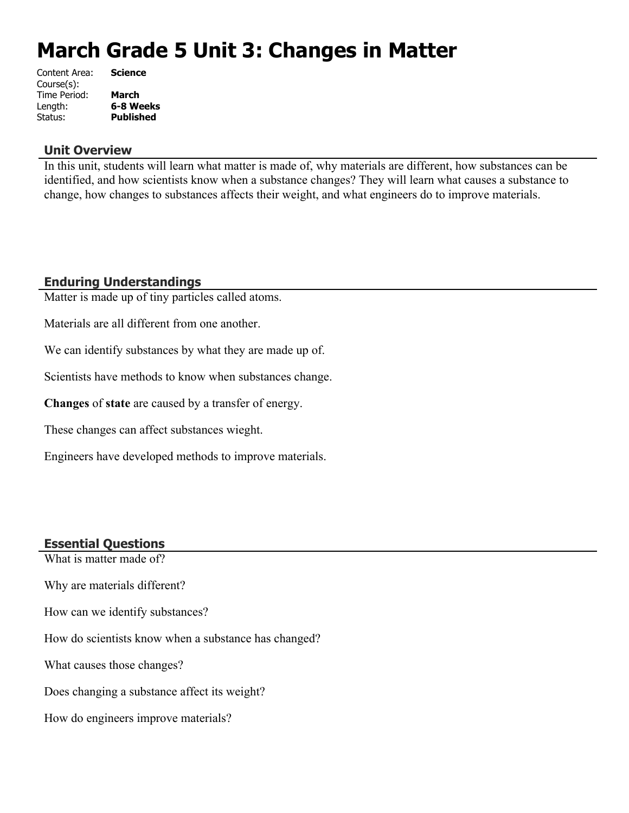# **March Grade 5 Unit 3: Changes in Matter**

| Content Area: | <b>Science</b>   |
|---------------|------------------|
| Course(s):    |                  |
| Time Period:  | March            |
| Length:       | 6-8 Weeks        |
| Status:       | <b>Published</b> |
|               |                  |

#### **Unit Overview**

In this unit, students will learn what matter is made of, why materials are different, how substances can be identified, and how scientists know when a substance changes? They will learn what causes a substance to change, how changes to substances affects their weight, and what engineers do to improve materials.

# **Enduring Understandings**

Matter is made up of tiny particles called atoms.

Materials are all different from one another.

We can identify substances by what they are made up of.

Scientists have methods to know when substances change.

**Changes** of **state** are caused by a transfer of energy.

These changes can affect substances wieght.

Engineers have developed methods to improve materials.

#### **Essential Questions**

What is matter made of?

Why are materials different?

How can we identify substances?

How do scientists know when a substance has changed?

What causes those changes?

Does changing a substance affect its weight?

How do engineers improve materials?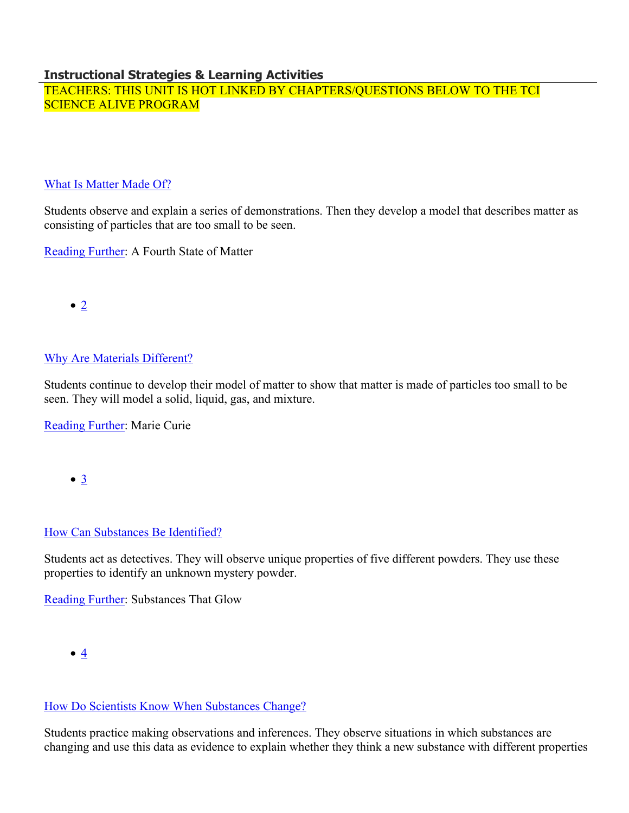#### **Instructional Strategies & Learning Activities**

TEACHERS: THIS UNIT IS HOT LINKED BY CHAPTERS/QUESTIONS BELOW TO THE TCI SCIENCE ALIVE PROGRAM

#### [What Is Matter Made Of?](https://subscriptions.teachtci.com/shared/programs/156/lessons/1590/slide_shows)

Students observe and explain a series of demonstrations. Then they develop a model that describes matter as consisting of particles that are too small to be seen.

[Reading Further](https://subscriptions.teachtci.com/shared/sections/11850?program_id=156&student_view=true): A Fourth State of Matter

 $\bullet$  [2](https://subscriptions.teachtci.com/shared/programs/156/lessons/1591/slide_shows)

# [Why Are Materials Different?](https://subscriptions.teachtci.com/shared/programs/156/lessons/1591/slide_shows)

Students continue to develop their model of matter to show that matter is made of particles too small to be seen. They will model a solid, liquid, gas, and mixture.

[Reading Further](https://subscriptions.teachtci.com/shared/sections/11867?program_id=156&student_view=true): Marie Curie

 $\bullet$   $\underline{3}$  $\underline{3}$  $\underline{3}$ 

# [How Can Substances Be Identified?](https://subscriptions.teachtci.com/shared/programs/156/lessons/1592/slide_shows)

Students act as detectives. They will observe unique properties of five different powders. They use these properties to identify an unknown mystery powder.

[Reading Further](https://subscriptions.teachtci.com/shared/sections/11896?program_id=156&student_view=true): Substances That Glow

# [How Do Scientists Know When Substances Change?](https://subscriptions.teachtci.com/shared/programs/156/lessons/1593/slide_shows)

Students practice making observations and inferences. They observe situations in which substances are changing and use this data as evidence to explain whether they think a new substance with different properties

 $\bullet$   $4$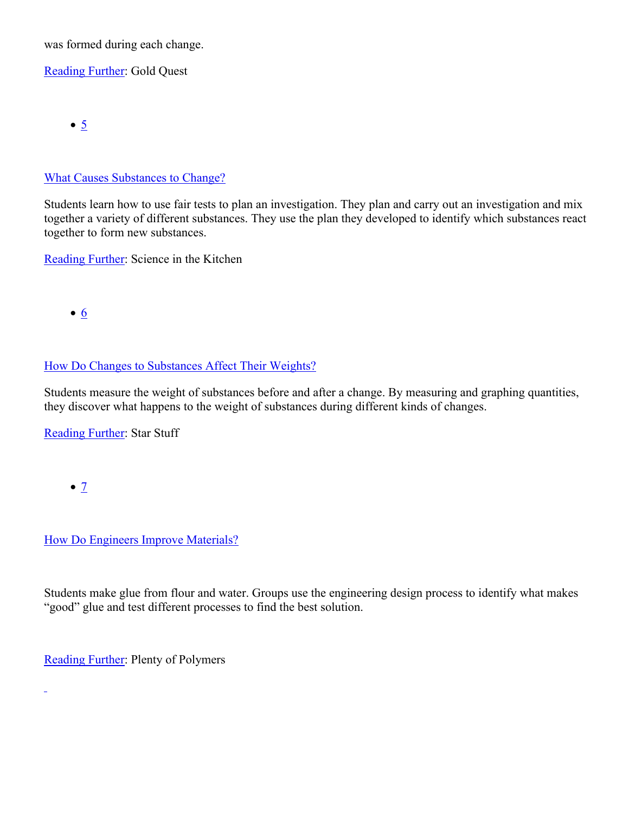was formed during each change.

[Reading Further](https://subscriptions.teachtci.com/shared/sections/11922?program_id=156&student_view=true): Gold Quest

 $\bullet$   $\overline{5}$  $\overline{5}$  $\overline{5}$ 

### [What Causes Substances to Change?](https://subscriptions.teachtci.com/shared/programs/156/lessons/1594/slide_shows)

Students learn how to use fair tests to plan an investigation. They plan and carry out an investigation and mix together a variety of different substances. They use the plan they developed to identify which substances react together to form new substances.

[Reading Further](https://subscriptions.teachtci.com/shared/sections/11941?program_id=156&student_view=true): Science in the Kitchen

 $\bullet$  [6](https://subscriptions.teachtci.com/shared/programs/156/lessons/1595/slide_shows)

# [How Do Changes to Substances Affect Their Weights?](https://subscriptions.teachtci.com/shared/programs/156/lessons/1595/slide_shows)

Students measure the weight of substances before and after a change. By measuring and graphing quantities, they discover what happens to the weight of substances during different kinds of changes.

[Reading Further](https://subscriptions.teachtci.com/shared/sections/11962?program_id=156&student_view=true): Star Stuff

 $\bullet$  [7](https://subscriptions.teachtci.com/shared/programs/156/lessons/1596/slide_shows)

L,

[How Do Engineers Improve Materials?](https://subscriptions.teachtci.com/shared/programs/156/lessons/1596/slide_shows)

Students make glue from flour and water. Groups use the engineering design process to identify what makes "good" glue and test different processes to find the best solution.

[Reading Further](https://subscriptions.teachtci.com/shared/sections/11971?program_id=156&student_view=true): Plenty of Polymers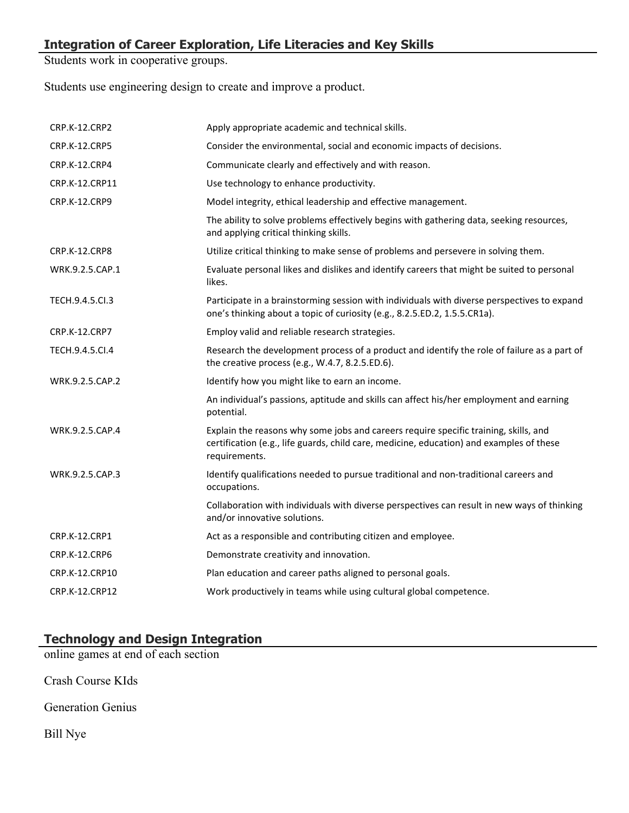Students work in cooperative groups.

Students use engineering design to create and improve a product.

| <b>CRP.K-12.CRP2</b>  | Apply appropriate academic and technical skills.                                                                                                                                                  |
|-----------------------|---------------------------------------------------------------------------------------------------------------------------------------------------------------------------------------------------|
| CRP.K-12.CRP5         | Consider the environmental, social and economic impacts of decisions.                                                                                                                             |
| CRP.K-12.CRP4         | Communicate clearly and effectively and with reason.                                                                                                                                              |
| CRP.K-12.CRP11        | Use technology to enhance productivity.                                                                                                                                                           |
| CRP.K-12.CRP9         | Model integrity, ethical leadership and effective management.                                                                                                                                     |
|                       | The ability to solve problems effectively begins with gathering data, seeking resources,<br>and applying critical thinking skills.                                                                |
| <b>CRP.K-12.CRP8</b>  | Utilize critical thinking to make sense of problems and persevere in solving them.                                                                                                                |
| WRK.9.2.5.CAP.1       | Evaluate personal likes and dislikes and identify careers that might be suited to personal<br>likes.                                                                                              |
| TECH.9.4.5.Cl.3       | Participate in a brainstorming session with individuals with diverse perspectives to expand<br>one's thinking about a topic of curiosity (e.g., 8.2.5.ED.2, 1.5.5.CR1a).                          |
| CRP.K-12.CRP7         | Employ valid and reliable research strategies.                                                                                                                                                    |
| TECH.9.4.5.CI.4       | Research the development process of a product and identify the role of failure as a part of<br>the creative process (e.g., W.4.7, 8.2.5.ED.6).                                                    |
| WRK.9.2.5.CAP.2       | Identify how you might like to earn an income.                                                                                                                                                    |
|                       | An individual's passions, aptitude and skills can affect his/her employment and earning<br>potential.                                                                                             |
| WRK.9.2.5.CAP.4       | Explain the reasons why some jobs and careers require specific training, skills, and<br>certification (e.g., life guards, child care, medicine, education) and examples of these<br>requirements. |
| WRK.9.2.5.CAP.3       | Identify qualifications needed to pursue traditional and non-traditional careers and<br>occupations.                                                                                              |
|                       | Collaboration with individuals with diverse perspectives can result in new ways of thinking<br>and/or innovative solutions.                                                                       |
| CRP.K-12.CRP1         | Act as a responsible and contributing citizen and employee.                                                                                                                                       |
| <b>CRP.K-12.CRP6</b>  | Demonstrate creativity and innovation.                                                                                                                                                            |
| CRP.K-12.CRP10        | Plan education and career paths aligned to personal goals.                                                                                                                                        |
| <b>CRP.K-12.CRP12</b> | Work productively in teams while using cultural global competence.                                                                                                                                |

# **Technology and Design Integration**

online games at end of each section

Crash Course KIds

Generation Genius

Bill Nye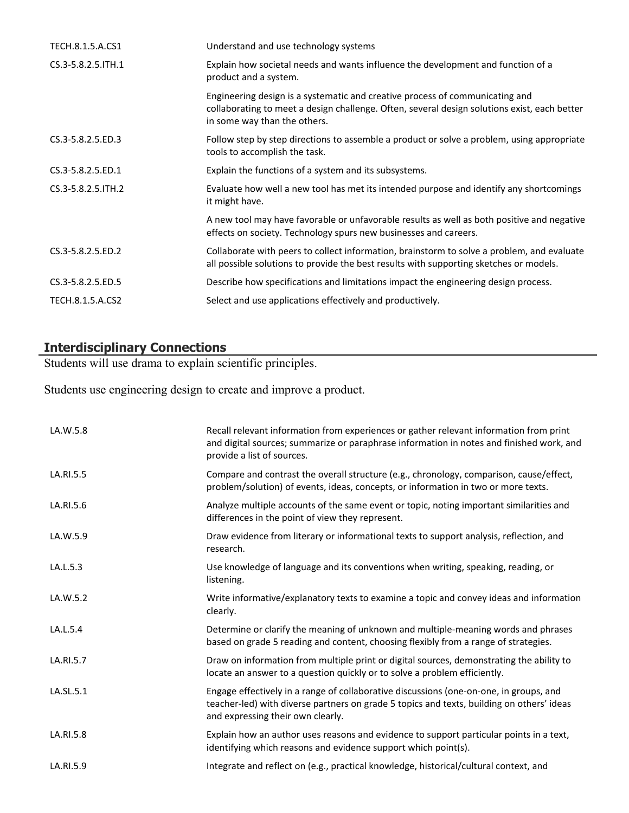| Understand and use technology systems                                                                                                                                                                        |
|--------------------------------------------------------------------------------------------------------------------------------------------------------------------------------------------------------------|
| Explain how societal needs and wants influence the development and function of a<br>product and a system.                                                                                                    |
| Engineering design is a systematic and creative process of communicating and<br>collaborating to meet a design challenge. Often, several design solutions exist, each better<br>in some way than the others. |
| Follow step by step directions to assemble a product or solve a problem, using appropriate<br>tools to accomplish the task.                                                                                  |
| Explain the functions of a system and its subsystems.                                                                                                                                                        |
| Evaluate how well a new tool has met its intended purpose and identify any shortcomings<br>it might have.                                                                                                    |
| A new tool may have favorable or unfavorable results as well as both positive and negative<br>effects on society. Technology spurs new businesses and careers.                                               |
| Collaborate with peers to collect information, brainstorm to solve a problem, and evaluate<br>all possible solutions to provide the best results with supporting sketches or models.                         |
| Describe how specifications and limitations impact the engineering design process.                                                                                                                           |
| Select and use applications effectively and productively.                                                                                                                                                    |
|                                                                                                                                                                                                              |

# **Interdisciplinary Connections**

Students will use drama to explain scientific principles.

Students use engineering design to create and improve a product.

| LA.W.5.8  | Recall relevant information from experiences or gather relevant information from print<br>and digital sources; summarize or paraphrase information in notes and finished work, and<br>provide a list of sources.         |
|-----------|--------------------------------------------------------------------------------------------------------------------------------------------------------------------------------------------------------------------------|
| LA.RI.5.5 | Compare and contrast the overall structure (e.g., chronology, comparison, cause/effect,<br>problem/solution) of events, ideas, concepts, or information in two or more texts.                                            |
| LA.RI.5.6 | Analyze multiple accounts of the same event or topic, noting important similarities and<br>differences in the point of view they represent.                                                                              |
| LA.W.5.9  | Draw evidence from literary or informational texts to support analysis, reflection, and<br>research.                                                                                                                     |
| LA.L.5.3  | Use knowledge of language and its conventions when writing, speaking, reading, or<br>listening.                                                                                                                          |
| LA.W.5.2  | Write informative/explanatory texts to examine a topic and convey ideas and information<br>clearly.                                                                                                                      |
| LA.L.5.4  | Determine or clarify the meaning of unknown and multiple-meaning words and phrases<br>based on grade 5 reading and content, choosing flexibly from a range of strategies.                                                |
| LA.RI.5.7 | Draw on information from multiple print or digital sources, demonstrating the ability to<br>locate an answer to a question quickly or to solve a problem efficiently.                                                    |
| LA.SL.5.1 | Engage effectively in a range of collaborative discussions (one-on-one, in groups, and<br>teacher-led) with diverse partners on grade 5 topics and texts, building on others' ideas<br>and expressing their own clearly. |
| LA.RI.5.8 | Explain how an author uses reasons and evidence to support particular points in a text,<br>identifying which reasons and evidence support which point(s).                                                                |
| LA.RI.5.9 | Integrate and reflect on (e.g., practical knowledge, historical/cultural context, and                                                                                                                                    |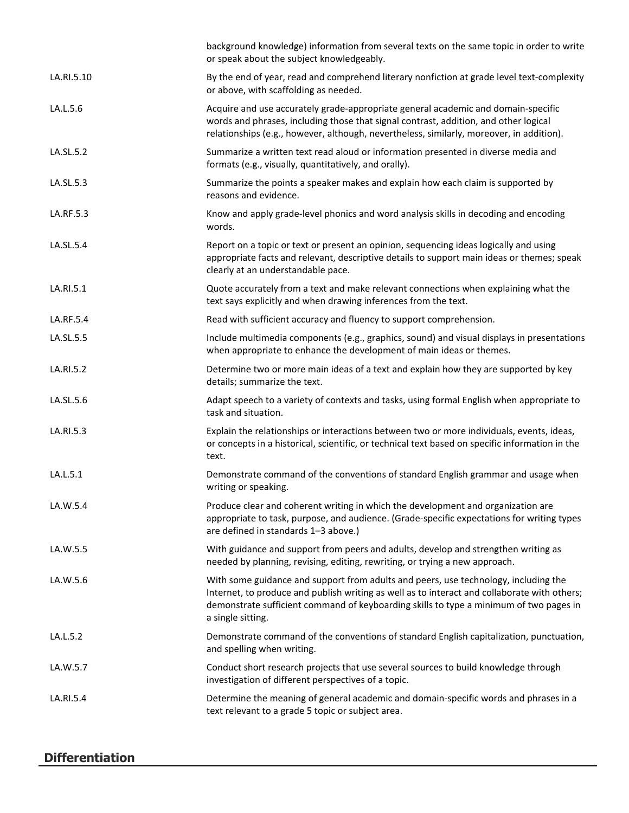|            | background knowledge) information from several texts on the same topic in order to write<br>or speak about the subject knowledgeably.                                                                                                                                                              |
|------------|----------------------------------------------------------------------------------------------------------------------------------------------------------------------------------------------------------------------------------------------------------------------------------------------------|
| LA.RI.5.10 | By the end of year, read and comprehend literary nonfiction at grade level text-complexity<br>or above, with scaffolding as needed.                                                                                                                                                                |
| LA.L.5.6   | Acquire and use accurately grade-appropriate general academic and domain-specific<br>words and phrases, including those that signal contrast, addition, and other logical<br>relationships (e.g., however, although, nevertheless, similarly, moreover, in addition).                              |
| LA.SL.5.2  | Summarize a written text read aloud or information presented in diverse media and<br>formats (e.g., visually, quantitatively, and orally).                                                                                                                                                         |
| LA.SL.5.3  | Summarize the points a speaker makes and explain how each claim is supported by<br>reasons and evidence.                                                                                                                                                                                           |
| LA.RF.5.3  | Know and apply grade-level phonics and word analysis skills in decoding and encoding<br>words.                                                                                                                                                                                                     |
| LA.SL.5.4  | Report on a topic or text or present an opinion, sequencing ideas logically and using<br>appropriate facts and relevant, descriptive details to support main ideas or themes; speak<br>clearly at an understandable pace.                                                                          |
| LA.RI.5.1  | Quote accurately from a text and make relevant connections when explaining what the<br>text says explicitly and when drawing inferences from the text.                                                                                                                                             |
| LA.RF.5.4  | Read with sufficient accuracy and fluency to support comprehension.                                                                                                                                                                                                                                |
| LA.SL.5.5  | Include multimedia components (e.g., graphics, sound) and visual displays in presentations<br>when appropriate to enhance the development of main ideas or themes.                                                                                                                                 |
| LA.RI.5.2  | Determine two or more main ideas of a text and explain how they are supported by key<br>details; summarize the text.                                                                                                                                                                               |
| LA.SL.5.6  | Adapt speech to a variety of contexts and tasks, using formal English when appropriate to<br>task and situation.                                                                                                                                                                                   |
| LA.RI.5.3  | Explain the relationships or interactions between two or more individuals, events, ideas,<br>or concepts in a historical, scientific, or technical text based on specific information in the<br>text.                                                                                              |
| LA.L.5.1   | Demonstrate command of the conventions of standard English grammar and usage when<br>writing or speaking.                                                                                                                                                                                          |
| LA.W.5.4   | Produce clear and coherent writing in which the development and organization are<br>appropriate to task, purpose, and audience. (Grade-specific expectations for writing types<br>are defined in standards 1-3 above.)                                                                             |
| LA.W.5.5   | With guidance and support from peers and adults, develop and strengthen writing as<br>needed by planning, revising, editing, rewriting, or trying a new approach.                                                                                                                                  |
| LA.W.5.6   | With some guidance and support from adults and peers, use technology, including the<br>Internet, to produce and publish writing as well as to interact and collaborate with others;<br>demonstrate sufficient command of keyboarding skills to type a minimum of two pages in<br>a single sitting. |
| LA.L.5.2   | Demonstrate command of the conventions of standard English capitalization, punctuation,<br>and spelling when writing.                                                                                                                                                                              |
| LA.W.5.7   | Conduct short research projects that use several sources to build knowledge through<br>investigation of different perspectives of a topic.                                                                                                                                                         |
| LA.RI.5.4  | Determine the meaning of general academic and domain-specific words and phrases in a<br>text relevant to a grade 5 topic or subject area.                                                                                                                                                          |

# **Differentiation**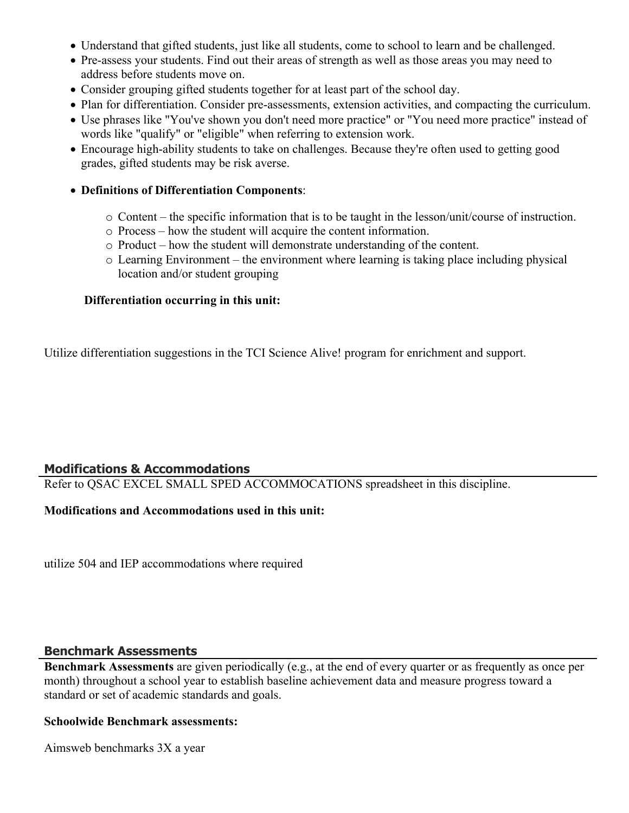- Understand that gifted students, just like all students, come to school to learn and be challenged.
- Pre-assess your students. Find out their areas of strength as well as those areas you may need to address before students move on.
- Consider grouping gifted students together for at least part of the school day.
- Plan for differentiation. Consider pre-assessments, extension activities, and compacting the curriculum.
- Use phrases like "You've shown you don't need more practice" or "You need more practice" instead of words like "qualify" or "eligible" when referring to extension work.
- Encourage high-ability students to take on challenges. Because they're often used to getting good grades, gifted students may be risk averse.

#### **Definitions of Differentiation Components**:

- o Content the specific information that is to be taught in the lesson/unit/course of instruction.
- o Process how the student will acquire the content information.
- o Product how the student will demonstrate understanding of the content.
- o Learning Environment the environment where learning is taking place including physical location and/or student grouping

#### **Differentiation occurring in this unit:**

Utilize differentiation suggestions in the TCI Science Alive! program for enrichment and support.

# **Modifications & Accommodations**

Refer to QSAC EXCEL SMALL SPED ACCOMMOCATIONS spreadsheet in this discipline.

#### **Modifications and Accommodations used in this unit:**

utilize 504 and IEP accommodations where required

#### **Benchmark Assessments**

**Benchmark Assessments** are given periodically (e.g., at the end of every quarter or as frequently as once per month) throughout a school year to establish baseline achievement data and measure progress toward a standard or set of academic standards and goals.

#### **Schoolwide Benchmark assessments:**

Aimsweb benchmarks 3X a year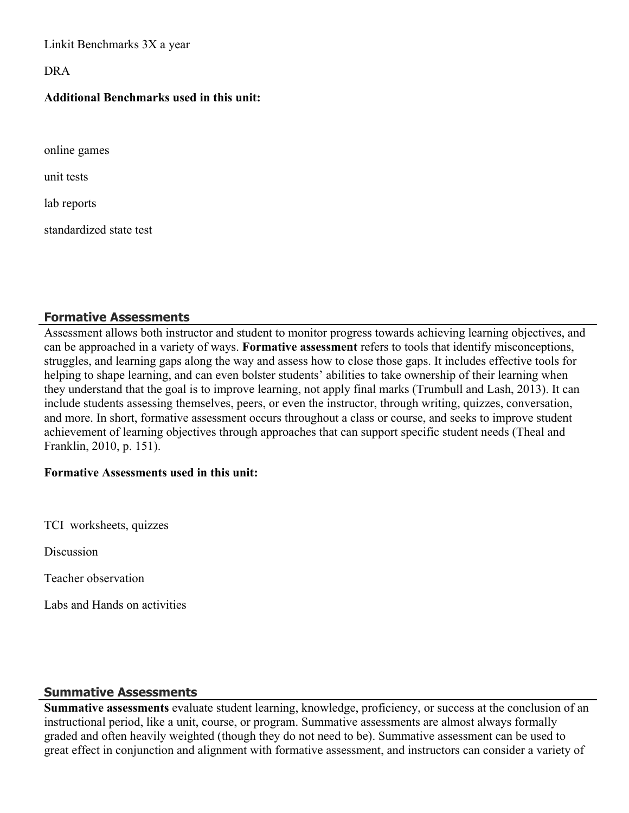Linkit Benchmarks 3X a year

DRA

#### **Additional Benchmarks used in this unit:**

online games

unit tests

lab reports

standardized state test

# **Formative Assessments**

Assessment allows both instructor and student to monitor progress towards achieving learning objectives, and can be approached in a variety of ways. **Formative assessment** refers to tools that identify misconceptions, struggles, and learning gaps along the way and assess how to close those gaps. It includes effective tools for helping to shape learning, and can even bolster students' abilities to take ownership of their learning when they understand that the goal is to improve learning, not apply final marks (Trumbull and Lash, 2013). It can include students assessing themselves, peers, or even the instructor, through writing, quizzes, conversation, and more. In short, formative assessment occurs throughout a class or course, and seeks to improve student achievement of learning objectives through approaches that can support specific student needs (Theal and Franklin, 2010, p. 151).

#### **Formative Assessments used in this unit:**

TCI worksheets, quizzes

**Discussion** 

Teacher observation

Labs and Hands on activities

# **Summative Assessments**

**Summative assessments** evaluate student learning, knowledge, proficiency, or success at the conclusion of an instructional period, like a unit, course, or program. Summative assessments are almost always formally graded and often heavily weighted (though they do not need to be). Summative assessment can be used to great effect in conjunction and alignment with formative assessment, and instructors can consider a variety of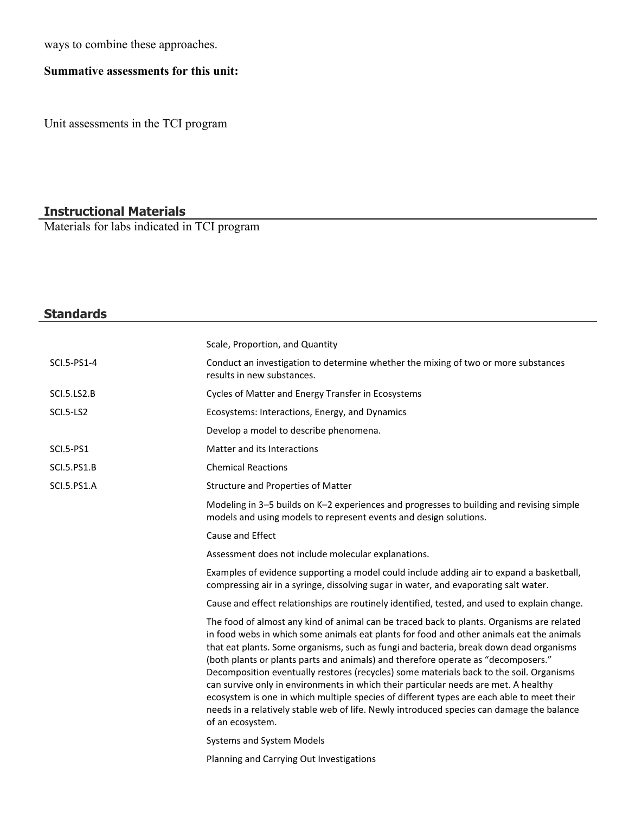ways to combine these approaches.

# **Summative assessments for this unit:**

Unit assessments in the TCI program

# **Instructional Materials**

Materials for labs indicated in TCI program

| <b>Standards</b>   |                                                                                                                                                                                                                                                                                                                                                                                                                                                                                                                                                                                                                                                                                                                                                                      |
|--------------------|----------------------------------------------------------------------------------------------------------------------------------------------------------------------------------------------------------------------------------------------------------------------------------------------------------------------------------------------------------------------------------------------------------------------------------------------------------------------------------------------------------------------------------------------------------------------------------------------------------------------------------------------------------------------------------------------------------------------------------------------------------------------|
|                    | Scale, Proportion, and Quantity                                                                                                                                                                                                                                                                                                                                                                                                                                                                                                                                                                                                                                                                                                                                      |
|                    |                                                                                                                                                                                                                                                                                                                                                                                                                                                                                                                                                                                                                                                                                                                                                                      |
| SCI.5-PS1-4        | Conduct an investigation to determine whether the mixing of two or more substances<br>results in new substances.                                                                                                                                                                                                                                                                                                                                                                                                                                                                                                                                                                                                                                                     |
| SCI.5.LS2.B        | Cycles of Matter and Energy Transfer in Ecosystems                                                                                                                                                                                                                                                                                                                                                                                                                                                                                                                                                                                                                                                                                                                   |
| <b>SCI.5-LS2</b>   | Ecosystems: Interactions, Energy, and Dynamics                                                                                                                                                                                                                                                                                                                                                                                                                                                                                                                                                                                                                                                                                                                       |
|                    | Develop a model to describe phenomena.                                                                                                                                                                                                                                                                                                                                                                                                                                                                                                                                                                                                                                                                                                                               |
| <b>SCI.5-PS1</b>   | Matter and its Interactions                                                                                                                                                                                                                                                                                                                                                                                                                                                                                                                                                                                                                                                                                                                                          |
| <b>SCI.5.PS1.B</b> | <b>Chemical Reactions</b>                                                                                                                                                                                                                                                                                                                                                                                                                                                                                                                                                                                                                                                                                                                                            |
| <b>SCI.5.PS1.A</b> | Structure and Properties of Matter                                                                                                                                                                                                                                                                                                                                                                                                                                                                                                                                                                                                                                                                                                                                   |
|                    | Modeling in 3-5 builds on K-2 experiences and progresses to building and revising simple<br>models and using models to represent events and design solutions.                                                                                                                                                                                                                                                                                                                                                                                                                                                                                                                                                                                                        |
|                    | Cause and Effect                                                                                                                                                                                                                                                                                                                                                                                                                                                                                                                                                                                                                                                                                                                                                     |
|                    | Assessment does not include molecular explanations.                                                                                                                                                                                                                                                                                                                                                                                                                                                                                                                                                                                                                                                                                                                  |
|                    | Examples of evidence supporting a model could include adding air to expand a basketball,<br>compressing air in a syringe, dissolving sugar in water, and evaporating salt water.                                                                                                                                                                                                                                                                                                                                                                                                                                                                                                                                                                                     |
|                    | Cause and effect relationships are routinely identified, tested, and used to explain change.                                                                                                                                                                                                                                                                                                                                                                                                                                                                                                                                                                                                                                                                         |
|                    | The food of almost any kind of animal can be traced back to plants. Organisms are related<br>in food webs in which some animals eat plants for food and other animals eat the animals<br>that eat plants. Some organisms, such as fungi and bacteria, break down dead organisms<br>(both plants or plants parts and animals) and therefore operate as "decomposers."<br>Decomposition eventually restores (recycles) some materials back to the soil. Organisms<br>can survive only in environments in which their particular needs are met. A healthy<br>ecosystem is one in which multiple species of different types are each able to meet their<br>needs in a relatively stable web of life. Newly introduced species can damage the balance<br>of an ecosystem. |
|                    | Systems and System Models                                                                                                                                                                                                                                                                                                                                                                                                                                                                                                                                                                                                                                                                                                                                            |
|                    | Planning and Carrying Out Investigations                                                                                                                                                                                                                                                                                                                                                                                                                                                                                                                                                                                                                                                                                                                             |